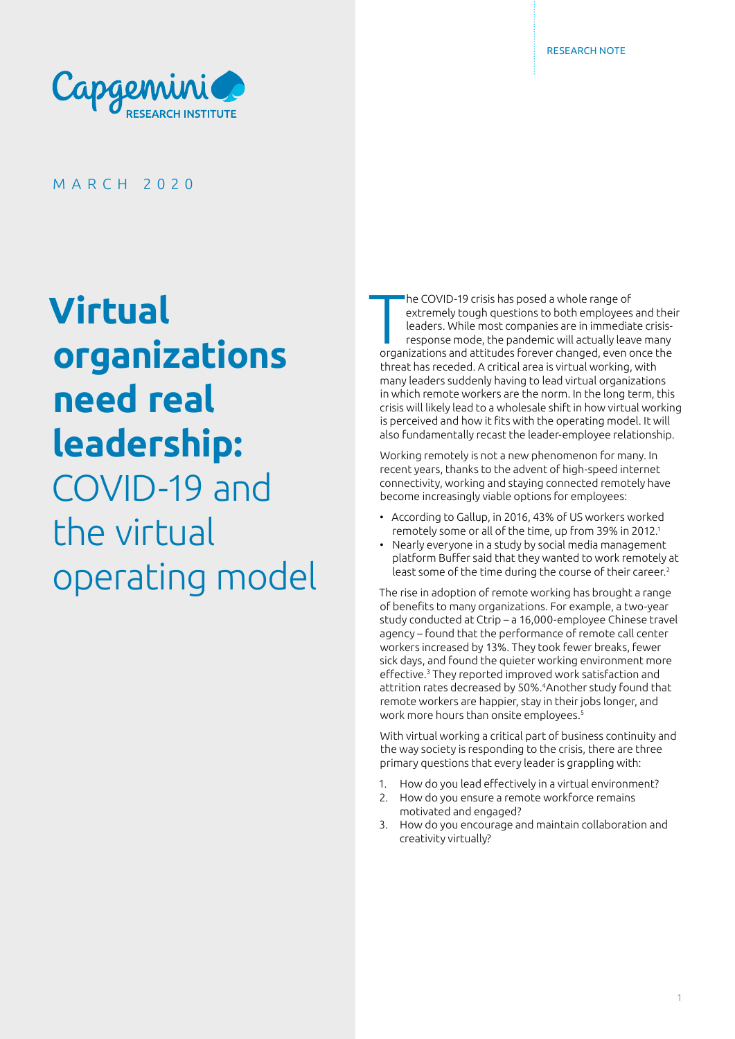

MARCH 2020

**Virtual organizations need real leadership:**  COVID-19 and the virtual operating model  $\prod_{\text{order}}$ he COVID-19 crisis has posed a whole range of extremely tough questions to both employees and their leaders. While most companies are in immediate crisisresponse mode, the pandemic will actually leave many organizations and attitudes forever changed, even once the threat has receded. A critical area is virtual working, with many leaders suddenly having to lead virtual organizations in which remote workers are the norm. In the long term, this crisis will likely lead to a wholesale shift in how virtual working is perceived and how it fits with the operating model. It will also fundamentally recast the leader-employee relationship.

Working remotely is not a new phenomenon for many. In recent years, thanks to the advent of high-speed internet connectivity, working and staying connected remotely have become increasingly viable options for employees:

- According to Gallup, in 2016, 43% of US workers worked remotely some or all of the time, up from 39% in 2012.<sup>1</sup>
- Nearly everyone in a study by social media management platform Buffer said that they wanted to work remotely at least some of the time during the course of their career.<sup>2</sup>

The rise in adoption of remote working has brought a range of benefits to many organizations. For example, a two-year study conducted at Ctrip – a 16,000-employee Chinese travel agency – found that the performance of remote call center workers increased by 13%. They took fewer breaks, fewer sick days, and found the quieter working environment more effective.<sup>3</sup> They reported improved work satisfaction and attrition rates decreased by 50%.4Another study found that remote workers are happier, stay in their jobs longer, and work more hours than onsite employees.<sup>5</sup>

With virtual working a critical part of business continuity and the way society is responding to the crisis, there are three primary questions that every leader is grappling with:

- 1. How do you lead effectively in a virtual environment?
- 2. How do you ensure a remote workforce remains motivated and engaged?
- 3. How do you encourage and maintain collaboration and creativity virtually?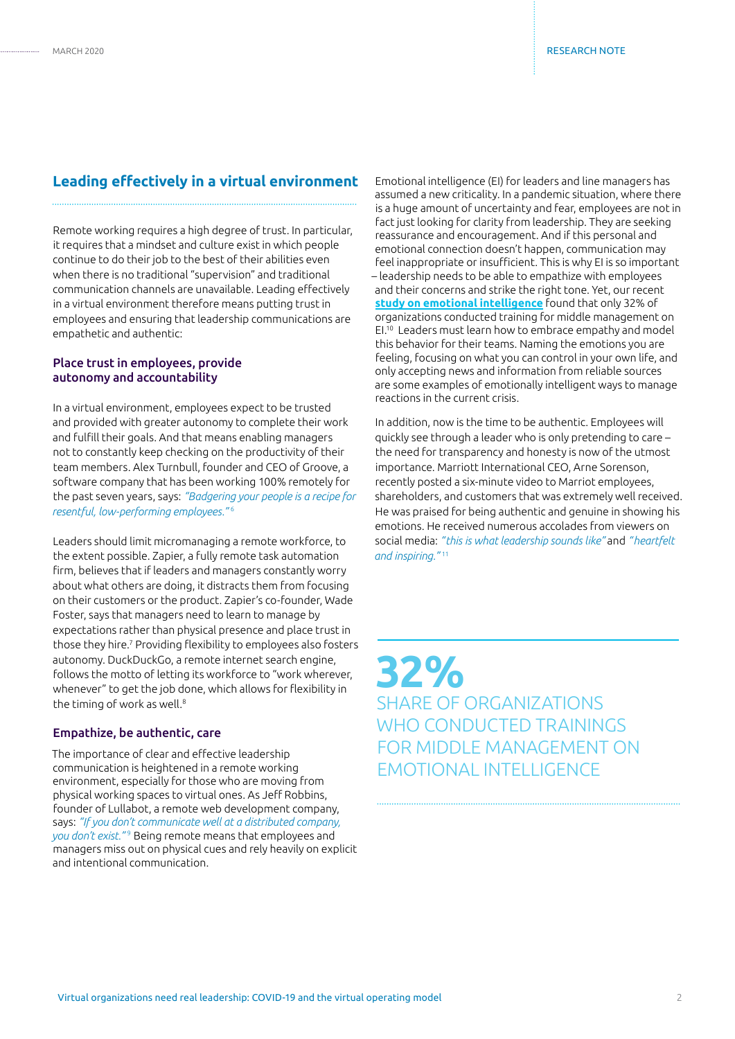## **Leading effectively in a virtual environment**

Remote working requires a high degree of trust. In particular, it requires that a mindset and culture exist in which people continue to do their job to the best of their abilities even when there is no traditional "supervision" and traditional communication channels are unavailable. Leading effectively in a virtual environment therefore means putting trust in employees and ensuring that leadership communications are empathetic and authentic:

#### Place trust in employees, provide autonomy and accountability

In a virtual environment, employees expect to be trusted and provided with greater autonomy to complete their work and fulfill their goals. And that means enabling managers not to constantly keep checking on the productivity of their team members. Alex Turnbull, founder and CEO of Groove, a software company that has been working 100% remotely for the past seven years, says: *"Badgering your people is a recipe for resentful, low-performing employees."* <sup>6</sup>

Leaders should limit micromanaging a remote workforce, to the extent possible. Zapier, a fully remote task automation firm, believes that if leaders and managers constantly worry about what others are doing, it distracts them from focusing on their customers or the product. Zapier's co-founder, Wade Foster, says that managers need to learn to manage by expectations rather than physical presence and place trust in those they hire.7 Providing flexibility to employees also fosters autonomy. DuckDuckGo, a remote internet search engine, follows the motto of letting its workforce to "work wherever, whenever" to get the job done, which allows for flexibility in the timing of work as well.<sup>8</sup>

#### Empathize, be authentic, care

The importance of clear and effective leadership communication is heightened in a remote working environment, especially for those who are moving from physical working spaces to virtual ones. As Jeff Robbins, founder of Lullabot, a remote web development company, says: *"If you don't communicate well at a distributed company, you don't exist."* 9 Being remote means that employees and managers miss out on physical cues and rely heavily on explicit and intentional communication.

Emotional intelligence (EI) for leaders and line managers has assumed a new criticality. In a pandemic situation, where there is a huge amount of uncertainty and fear, employees are not in fact just looking for clarity from leadership. They are seeking reassurance and encouragement. And if this personal and emotional connection doesn't happen, communication may feel inappropriate or insufficient. This is why EI is so important – leadership needs to be able to empathize with employees and their concerns and strike the right tone. Yet, our recent **[study on emotional intelligence](https://www.capgemini.com/research/emotional-intelligence/)** found that only 32% of organizations conducted training for middle management on EI.10 Leaders must learn how to embrace empathy and model this behavior for their teams. Naming the emotions you are feeling, focusing on what you can control in your own life, and only accepting news and information from reliable sources are some examples of emotionally intelligent ways to manage reactions in the current crisis.

In addition, now is the time to be authentic. Employees will quickly see through a leader who is only pretending to care – the need for transparency and honesty is now of the utmost importance. Marriott International CEO, Arne Sorenson, recently posted a six-minute video to Marriot employees, shareholders, and customers that was extremely well received. He was praised for being authentic and genuine in showing his emotions. He received numerous accolades from viewers on social media: *"this is what leadership sounds like"* and *"heartfelt and inspiring."* <sup>11</sup>

**32%** SHARE OF ORGANIZATIONS WHO CONDUCTED TRAININGS FOR MIDDLE MANAGEMENT ON EMOTIONAL INTELLIGENCE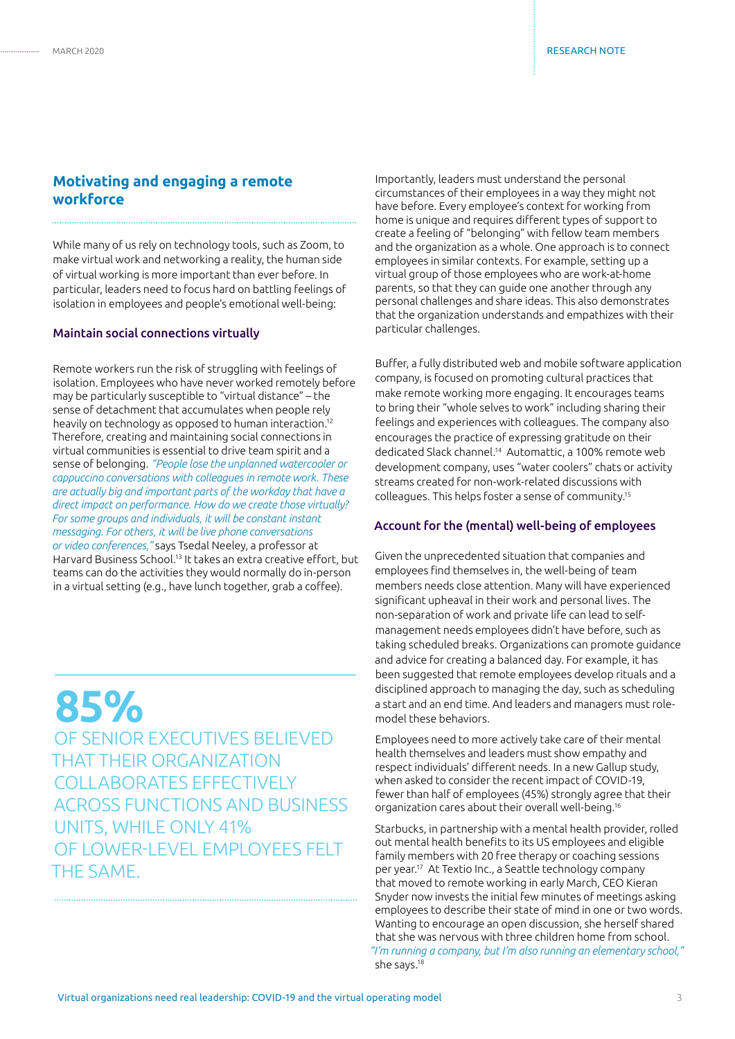## **Motivating and engaging a remote workforce**

While many of us rely on technology tools, such as Zoom, to make virtual work and networking a reality, the human side of virtual working is more important than ever before. In particular, leaders need to focus hard on battling feelings of isolation in employees and people's emotional well-being:

#### Maintain social connections virtually

Remote workers run the risk of struggling with feelings of isolation. Employees who have never worked remotely before may be particularly susceptible to "virtual distance" – the sense of detachment that accumulates when people rely heavily on technology as opposed to human interaction.12 Therefore, creating and maintaining social connections in virtual communities is essential to drive team spirit and a sense of belonging. *"People lose the unplanned watercooler or cappuccino conversations with colleagues in remote work. These are actually big and important parts of the workday that have a direct impact on performance. How do we create those virtually? For some groups and individuals, it will be constant instant messaging. For others, it will be live phone conversations or video conferences,"* says Tsedal Neeley, a professor at Harvard Business School.13 It takes an extra creative effort, but teams can do the activities they would normally do in-person in a virtual setting (e.g., have lunch together, grab a coffee).

**85%** OF SENIOR EXECUTIVES BELIEVED THAT THEIR ORGANIZATION COLLABORATES EFFECTIVELY ACROSS FUNCTIONS AND BUSINESS UNITS, WHILE ONLY 41% OF LOWER-LEVEL EMPLOYEES FELT THE SAME.

Importantly, leaders must understand the personal circumstances of their employees in a way they might not have before. Every employee's context for working from home is unique and requires different types of support to create a feeling of "belonging" with fellow team members and the organization as a whole. One approach is to connect employees in similar contexts. For example, setting up a virtual group of those employees who are work-at-home parents, so that they can guide one another through any personal challenges and share ideas. This also demonstrates that the organization understands and empathizes with their particular challenges.

Buffer, a fully distributed web and mobile software application company, is focused on promoting cultural practices that make remote working more engaging. It encourages teams to bring their "whole selves to work" including sharing their feelings and experiences with colleagues. The company also encourages the practice of expressing gratitude on their dedicated Slack channel.14 Automattic, a 100% remote web development company, uses "water coolers" chats or activity streams created for non-work-related discussions with colleagues. This helps foster a sense of community.15

#### Account for the (mental) well-being of employees

Given the unprecedented situation that companies and employees find themselves in, the well-being of team members needs close attention. Many will have experienced significant upheaval in their work and personal lives. The non-separation of work and private life can lead to selfmanagement needs employees didn't have before, such as taking scheduled breaks. Organizations can promote guidance and advice for creating a balanced day. For example, it has been suggested that remote employees develop rituals and a disciplined approach to managing the day, such as scheduling a start and an end time. And leaders and managers must rolemodel these behaviors.

Employees need to more actively take care of their mental health themselves and leaders must show empathy and respect individuals' different needs. In a new Gallup study, when asked to consider the recent impact of COVID-19, fewer than half of employees (45%) strongly agree that their organization cares about their overall well-being.16

Starbucks, in partnership with a mental health provider, rolled out mental health benefits to its US employees and eligible family members with 20 free therapy or coaching sessions per year.17 At Textio Inc., a Seattle technology company that moved to remote working in early March, CEO Kieran Snyder now invests the initial few minutes of meetings asking employees to describe their state of mind in one or two words. Wanting to encourage an open discussion, she herself shared that she was nervous with three children home from school. *"I'm running a company, but I'm also running an elementary school,"* she says.18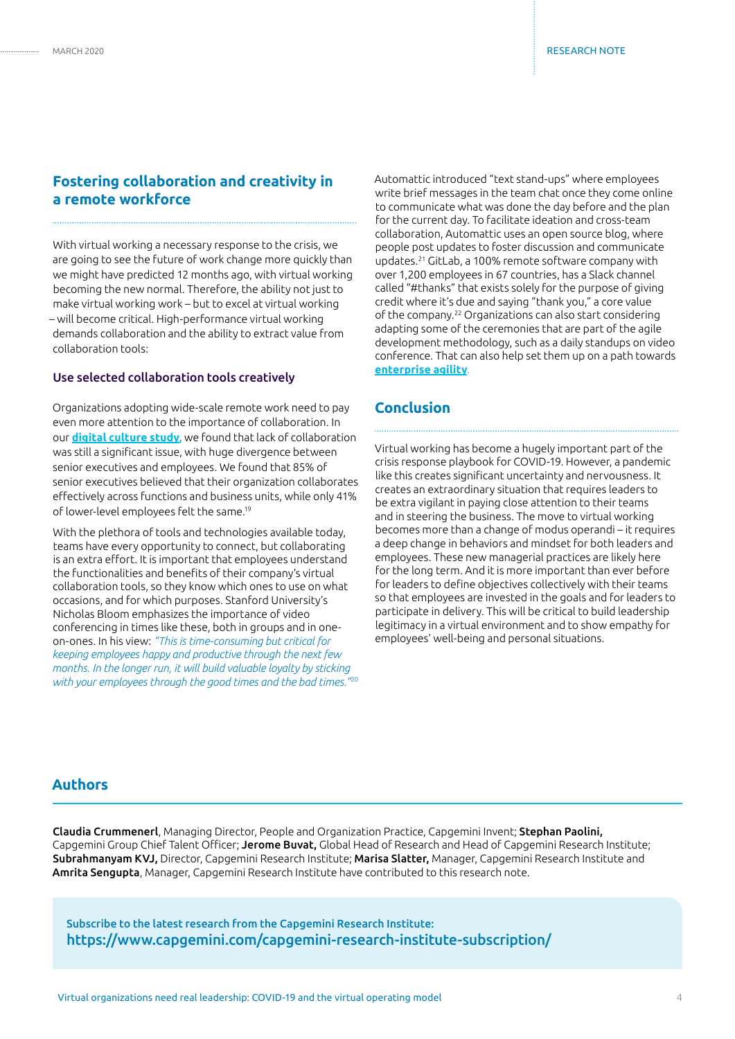## **Fostering collaboration and creativity in a remote workforce**

With virtual working a necessary response to the crisis, we are going to see the future of work change more quickly than we might have predicted 12 months ago, with virtual working becoming the new normal. Therefore, the ability not just to make virtual working work – but to excel at virtual working – will become critical. High-performance virtual working demands collaboration and the ability to extract value from collaboration tools:

#### Use selected collaboration tools creatively

Organizations adopting wide-scale remote work need to pay even more attention to the importance of collaboration. In our **[digital culture study](https://www.capgemini.com/resources/the-digital-culture-challenge-closing-the-employee-leadership-gap/)**, we found that lack of collaboration was still a significant issue, with huge divergence between senior executives and employees. We found that 85% of senior executives believed that their organization collaborates effectively across functions and business units, while only 41% of lower-level employees felt the same.19

With the plethora of tools and technologies available today, teams have every opportunity to connect, but collaborating is an extra effort. It is important that employees understand the functionalities and benefits of their company's virtual collaboration tools, so they know which ones to use on what occasions, and for which purposes. Stanford University's Nicholas Bloom emphasizes the importance of video conferencing in times like these, both in groups and in oneon-ones. In his view: *"This is time-consuming but critical for keeping employees happy and productive through the next few months. In the longer run, it will build valuable loyalty by sticking with your employees through the good times and the bad times."*<sup>20</sup> Automattic introduced "text stand-ups" where employees write brief messages in the team chat once they come online to communicate what was done the day before and the plan for the current day. To facilitate ideation and cross-team collaboration, Automattic uses an open source blog, where people post updates to foster discussion and communicate updates.21 GitLab, a 100% remote software company with over 1,200 employees in 67 countries, has a Slack channel called "#thanks" that exists solely for the purpose of giving credit where it's due and saying "thank you," a core value of the company.22 Organizations can also start considering adapting some of the ceremonies that are part of the agile development methodology, such as a daily standups on video conference. That can also help set them up on a path towards **[enterprise agility](https://www.capgemini.com/research/agile-at-scale/)**.

## **Conclusion**

Virtual working has become a hugely important part of the crisis response playbook for COVID-19. However, a pandemic like this creates significant uncertainty and nervousness. It creates an extraordinary situation that requires leaders to be extra vigilant in paying close attention to their teams and in steering the business. The move to virtual working becomes more than a change of modus operandi – it requires a deep change in behaviors and mindset for both leaders and employees. These new managerial practices are likely here for the long term. And it is more important than ever before for leaders to define objectives collectively with their teams so that employees are invested in the goals and for leaders to participate in delivery. This will be critical to build leadership legitimacy in a virtual environment and to show empathy for employees' well-being and personal situations.

## **Authors**

Claudia Crummenerl, Managing Director, People and Organization Practice, Capgemini Invent; Stephan Paolini, Capgemini Group Chief Talent Officer; Jerome Buvat, Global Head of Research and Head of Capgemini Research Institute; Subrahmanyam KVJ, Director, Capgemini Research Institute; Marisa Slatter, Manager, Capgemini Research Institute and Amrita Sengupta, Manager, Capgemini Research Institute have contributed to this research note.

Subscribe to the latest research from the Capgemini Research Institute: https://www.capgemini.com/capgemini-research-institute-subscription/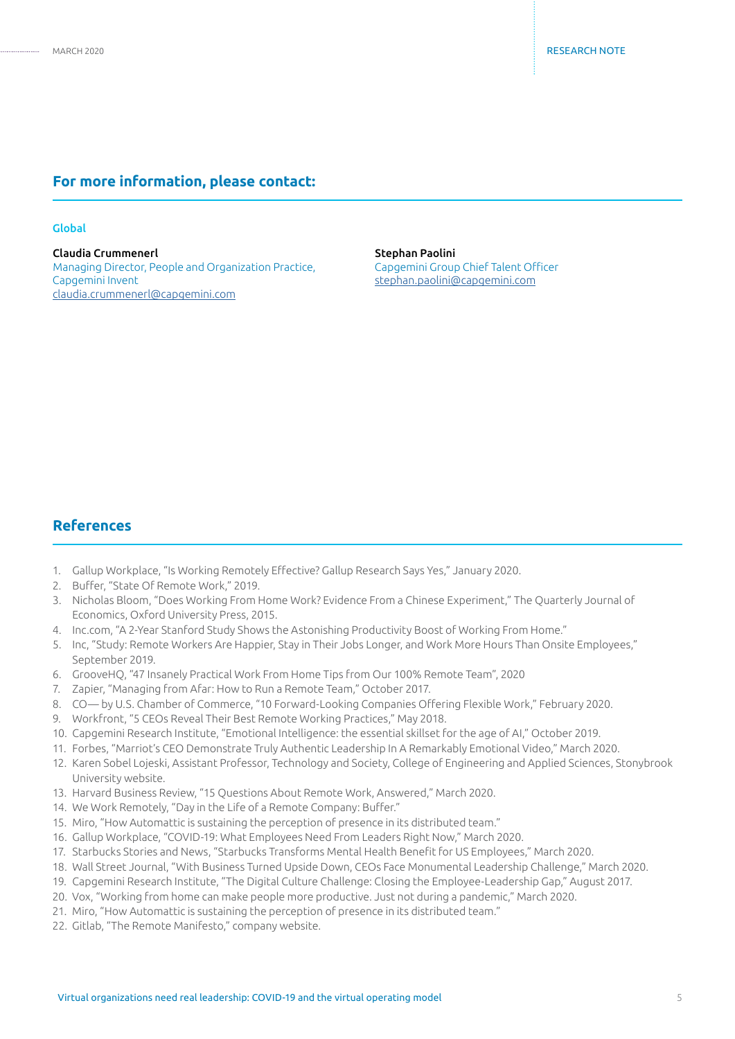#### **For more information, please contact:**

#### Global

Claudia Crummenerl Managing Director, People and Organization Practice, Capgemini Invent claudia.crummenerl@capgemini.com

Stephan Paolini Capgemini Group Chief Talent Officer stephan.paolini@capgemini.com

## **References**

- 1. Gallup Workplace, "Is Working Remotely Effective? Gallup Research Says Yes," January 2020.
- 2. Buffer, "State Of Remote Work," 2019.
- 3. Nicholas Bloom, "Does Working From Home Work? Evidence From a Chinese Experiment," The Quarterly Journal of Economics, Oxford University Press, 2015.
- 4. Inc.com, "A 2-Year Stanford Study Shows the Astonishing Productivity Boost of Working From Home."
- 5. Inc, "Study: Remote Workers Are Happier, Stay in Their Jobs Longer, and Work More Hours Than Onsite Employees," September 2019.
- 6. GrooveHQ, "47 Insanely Practical Work From Home Tips from Our 100% Remote Team", 2020
- 7. Zapier, "Managing from Afar: How to Run a Remote Team," October 2017.
- 8. CO— by U.S. Chamber of Commerce, "10 Forward-Looking Companies Offering Flexible Work," February 2020.
- 9. Workfront, "5 CEOs Reveal Their Best Remote Working Practices," May 2018.
- 10. Capgemini Research Institute, "Emotional Intelligence: the essential skillset for the age of AI," October 2019.
- 11. Forbes, "Marriot's CEO Demonstrate Truly Authentic Leadership In A Remarkably Emotional Video," March 2020.
- 12. Karen Sobel Lojeski, Assistant Professor, Technology and Society, College of Engineering and Applied Sciences, Stonybrook University website.
- 13. Harvard Business Review, "15 Questions About Remote Work, Answered," March 2020.
- 14. We Work Remotely, "Day in the Life of a Remote Company: Buffer."
- 15. Miro, "How Automattic is sustaining the perception of presence in its distributed team."
- 16. Gallup Workplace, "COVID-19: What Employees Need From Leaders Right Now," March 2020.
- 17. Starbucks Stories and News, "Starbucks Transforms Mental Health Benefit for US Employees," March 2020.
- 18. Wall Street Journal, "With Business Turned Upside Down, CEOs Face Monumental Leadership Challenge," March 2020.
- 19. Capgemini Research Institute, "The Digital Culture Challenge: Closing the Employee-Leadership Gap," August 2017.
- 20. Vox, "Working from home can make people more productive. Just not during a pandemic," March 2020.
- 21. Miro, "How Automattic is sustaining the perception of presence in its distributed team."
- 22. Gitlab, "The Remote Manifesto," company website.